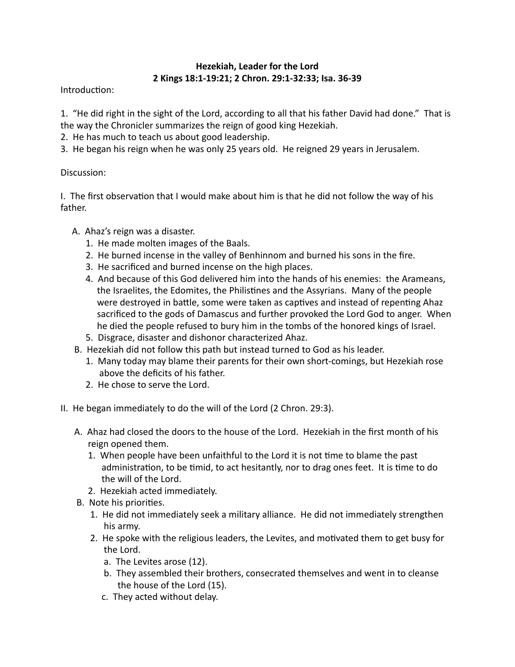## **Hezekiah, Leader for the Lord 2 Kings 18:1-19:21; 2 Chron. 29:1-32:33; Isa. 36-39**

Introduction:

1. "He did right in the sight of the Lord, according to all that his father David had done." That is the way the Chronicler summarizes the reign of good king Hezekiah.

- 2. He has much to teach us about good leadership.
- 3. He began his reign when he was only 25 years old. He reigned 29 years in Jerusalem.

## Discussion:

I. The first observation that I would make about him is that he did not follow the way of his father.

- A. Ahaz's reign was a disaster.
	- 1. He made molten images of the Baals.
	- 2. He burned incense in the valley of Benhinnom and burned his sons in the fire.
	- 3. He sacrificed and burned incense on the high places.
	- 4. And because of this God delivered him into the hands of his enemies: the Arameans, the Israelites, the Edomites, the Philistines and the Assyrians. Many of the people were destroyed in battle, some were taken as captives and instead of repenting Ahaz sacrificed to the gods of Damascus and further provoked the Lord God to anger. When he died the people refused to bury him in the tombs of the honored kings of Israel.
	- 5. Disgrace, disaster and dishonor characterized Ahaz.
- B. Hezekiah did not follow this path but instead turned to God as his leader.
	- 1. Many today may blame their parents for their own short-comings, but Hezekiah rose above the deficits of his father.
	- 2. He chose to serve the Lord.
- II. He began immediately to do the will of the Lord (2 Chron. 29:3).
	- A. Ahaz had closed the doors to the house of the Lord. Hezekiah in the first month of his reign opened them.
		- 1. When people have been unfaithful to the Lord it is not time to blame the past administration, to be timid, to act hesitantly, nor to drag ones feet. It is time to do the will of the Lord.
		- 2. Hezekiah acted immediately.
	- B. Note his priorities.
		- 1. He did not immediately seek a military alliance. He did not immediately strengthen his army.
		- 2. He spoke with the religious leaders, the Levites, and motivated them to get busy for the Lord.
			- a. The Levites arose (12).
			- b. They assembled their brothers, consecrated themselves and went in to cleanse the house of the Lord (15).
			- c. They acted without delay.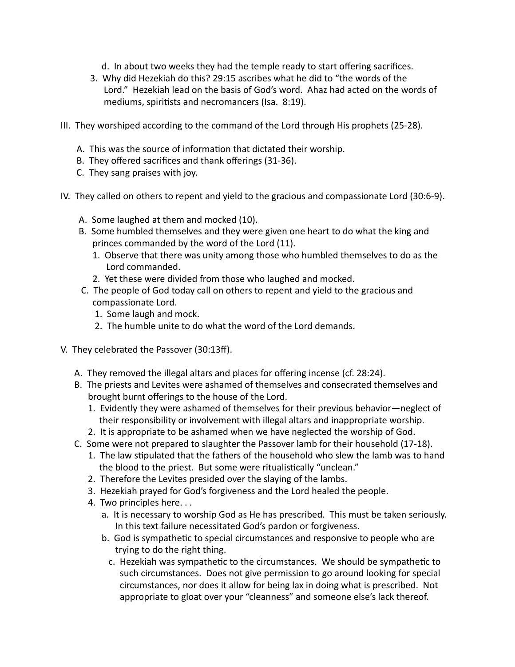- d. In about two weeks they had the temple ready to start offering sacrifices.
- 3. Why did Hezekiah do this? 29:15 ascribes what he did to "the words of the Lord." Hezekiah lead on the basis of God's word. Ahaz had acted on the words of mediums, spiritists and necromancers (Isa. 8:19).
- III. They worshiped according to the command of the Lord through His prophets (25-28).
	- A. This was the source of information that dictated their worship.
	- B. They offered sacrifices and thank offerings (31-36).
	- C. They sang praises with joy.
- IV. They called on others to repent and yield to the gracious and compassionate Lord (30:6-9).
	- A. Some laughed at them and mocked (10).
	- B. Some humbled themselves and they were given one heart to do what the king and princes commanded by the word of the Lord (11).
		- 1. Observe that there was unity among those who humbled themselves to do as the Lord commanded.
		- 2. Yet these were divided from those who laughed and mocked.
	- C. The people of God today call on others to repent and yield to the gracious and compassionate Lord.
		- 1. Some laugh and mock.
		- 2. The humble unite to do what the word of the Lord demands.
- V. They celebrated the Passover (30:13ff).
	- A. They removed the illegal altars and places for offering incense (cf. 28:24).
	- B. The priests and Levites were ashamed of themselves and consecrated themselves and brought burnt offerings to the house of the Lord.
		- 1. Evidently they were ashamed of themselves for their previous behavior—neglect of their responsibility or involvement with illegal altars and inappropriate worship.
		- 2. It is appropriate to be ashamed when we have neglected the worship of God.
	- C. Some were not prepared to slaughter the Passover lamb for their household (17-18).
		- 1. The law stipulated that the fathers of the household who slew the lamb was to hand the blood to the priest. But some were ritualistically "unclean."
		- 2. Therefore the Levites presided over the slaying of the lambs.
		- 3. Hezekiah prayed for God's forgiveness and the Lord healed the people.
		- 4. Two principles here.  $\ldots$ 
			- a. It is necessary to worship God as He has prescribed. This must be taken seriously. In this text failure necessitated God's pardon or forgiveness.
			- b. God is sympathetic to special circumstances and responsive to people who are trying to do the right thing.
				- c. Hezekiah was sympathetic to the circumstances. We should be sympathetic to such circumstances. Does not give permission to go around looking for special circumstances, nor does it allow for being lax in doing what is prescribed. Not appropriate to gloat over your "cleanness" and someone else's lack thereof.